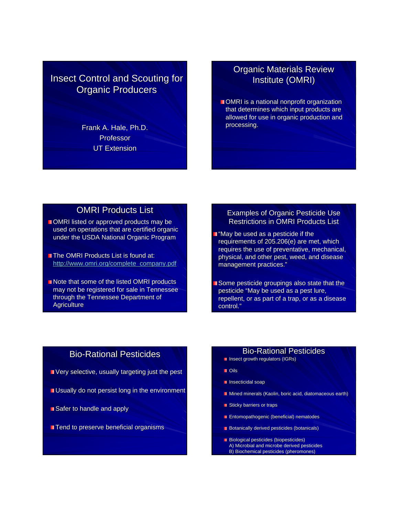# **Insect Control and Scouting for Organic Producers**

Frank A. Hale, Ph.D. Professor UT Extension

# **Organic Materials Review** Institute (OMRI)

 $\blacksquare$  OMRI is a national nonprofit organization that determines which input products are allowed for use in organic production and processing.

#### **OMRI Products List**

- OMRI listed or approved products may be used on operations that are certified organic under the USDA National Organic Program
- **The OMRI Products List is found at:** http://www.omri.org/complete\_company.pdf
- Note that some of the listed OMRI products may not be registered for sale in Tennessee through the Tennessee Department of **Agriculture**

#### Examples of Organic Pesticide Use Restrictions in OMRI Products List

- $\blacksquare$  "May be used as a pesticide if the requirements of  $205.206(e)$  are met, which requires the use of preventative, mechanical, physical, and other pest, weed, and disease management practices."
- Some pesticide groupings also state that the pesticide "May be used as a pest lure, repellent, or as part of a trap, or as a disease control."

# **Bio-Rational Pesticides**

- Very selective, usually targeting just the pest Very selective, usually targeting just the pest
- Usually do not persist long in the environment Usually do not persist long in the environment
- $\blacksquare$  Safer to handle and apply
- **Tend to preserve beneficial organisms**

#### **Bio-Rational Pesticides**

- Insect growth regulators (IGRs)
- **Dis**
- **I** Insecticidal soap
- Mined minerals (Kaolin, boric acid, diatomaceous earth)
- **Sticky barriers or traps**
- **Entomopathogenic (beneficial) nematodes**
- $\blacksquare$  Botanically derived pesticides (botanicals)
- **Biological pesticides (biopesticides)** A) Microbial and microbe derived pesticides B) Biochemical pesticides (pheromones)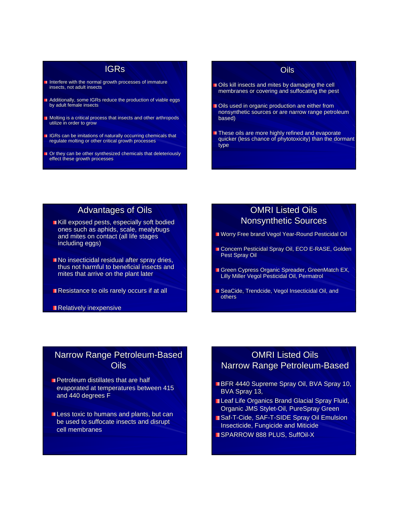#### IGRs

- I Interfere with the normal growth processes of immature insects, not adult insects
- Additionally, some IGRs reduce the production of viable eggs by adult female insects
- **Molting is a critical process that insects and other arthropods** utilize in order to grow
- **IGRs can be imitations of naturally occurring chemicals that** regulate molting or other critical growth processes
- Or they can be other synthesized chemicals that deleteriously effect these growth processes

#### **Oils**

- Oils kill insects and mites by damaging the cell membranes or covering and suffocating the pest membranes or covering and suffocating the pest
- Oils used in organic production are either from nonsynthetic sources or are narrow range petroleum based)
- These oils are more highly refined and evaporate quicker (less chance of phytotoxicity) than the dormant quicker (less chance of phytotoxicity) than the dormant type

## **Advantages of Oils**

- Kill exposed pests, especially soft bodied ones such as aphids, scale, mealybugs and mites on contact (all life stages including eggs)
- $\blacksquare$  No insecticidal residual after spray dries, thus not harmful to beneficial insects and mites that arrive on the plant later
- $\blacksquare$  Resistance to oils rarely occurs if at all

Relatively inexpensive

#### **OMRI Listed Oils Nonsynthetic Sources**

- **Norry Free brand Vegol Year-Round Pesticidal Oil**
- Concern Pesticidal Spray Oil, ECO E-RASE, Golden Pest Spray Oil
- Green Cypress Organic Spreader, GreenMatch EX, Lilly Miller Vegol Pesticidal Oil, Permatrol Lilly Miller Vegol Pesticidal Oil, Permatrol
- SeaCide, Trendcide, Vegol Insecticidal Oil, and others

## Narrow Range Petroleum-Based Oils

- $\blacksquare$  Petroleum distillates that are half evaporated at temperatures between 415 and 440 degrees F
- $\blacksquare$  Less toxic to humans and plants, but can be used to suffocate insects and disrupt cell membranes

# **OMRI Listed Oils** Narrow Range Petroleum-Based

- **BFR 4440 Supreme Spray Oil, BVA Spray 10,** BVA Spray 13,
- Leaf Life Organics Brand Glacial Spray Fluid, Organic JMS Stylet-Oil, PureSpray Green
- **Baf-T-Cide, SAF-T-SIDE Spray Oil Emulsion** Insecticide, Fungicide and Miticide
- SPARROW 888 PLUS, SuffOil-X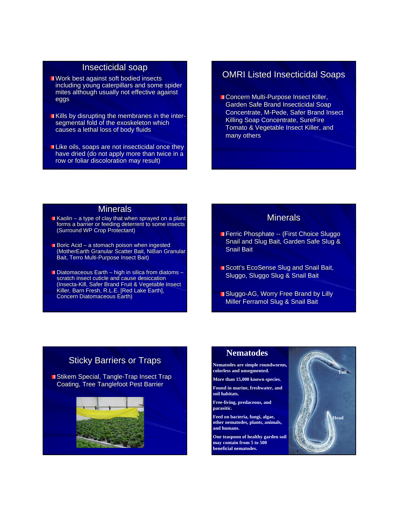#### Insecticidal soap

- $\blacksquare$  Work best against soft bodied insects including young caterpillars and some spider mites although usually not effective against eggs
- Kills by disrupting the membranes in the intersegmental fold of the exoskeleton which causes a lethal loss of body fluids
- Like oils, soaps are not insecticidal once they have dried (do not apply more than twice in a row or foliar discoloration may result)

#### **OMRI Listed Insecticidal Soaps**

**Concern Multi-Purpose Insect Killer,** Garden Safe Brand Insecticidal Soap Concentrate, M-Pede, Safer Brand Insect Killing Soap Concentrate, SureFire Tomato & Vegetable Insect Killer, and many others

#### **Minerals**

- Kaolin a type of clay that when sprayed on a plant forms a barrier or feeding deterrent to some insects (Surround WP Crop Protectant)
- Boric Acid a stomach poison when ingested (MotherEarth Granular Scatter Bait, NiBan Granular Bait, Terro Multi-Purpose Insect Bait)
- $\blacksquare$  Diatomaceous Earth high in silica from diatoms scratch insect cuticle and cause desiccation (Insecta-Kill, Safer Brand Fruit & Vegetable Insect Killer, Barn Fresh, R.L.E. [Red Lake Earth], Concern Diatomaceous Earth)

#### **Minerals**

- **Ferric Phosphate -- (First Choice Sluggo)** Snail and Slug Bait, Garden Safe Slug & **Snail Bait**
- Scott's EcoSense Slug and Snail Bait, Sluggo, Sluggo Slug & Snail Bait
- Sluggo-AG, Worry Free Brand by Lilly Miller Ferramol Slug & Snail Bait

## **Sticky Barriers or Traps**

■Stikem Special, Tangle-Trap Insect Trap Coating, Tree Tanglefoot Pest Barrier



#### **Nematodes**

**Nematodes are simple roundworms, colorless and unsegmented.**

**More than 15,000 known species.**

**Found in marine, freshwater, and soil habitats.**

**Free-living, predaceous, and parasitic.**

**Feed on bacteria, fungi, algae, other nematodes, plants, animals, and humans.**

**One teaspoon of healthy garden soil may contain from 5 to 500 beneficial nematodes.** 

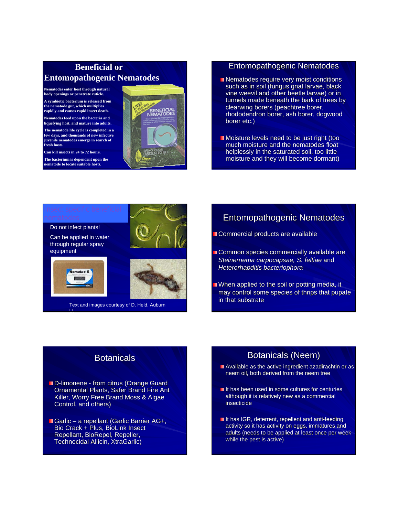# **Beneficial or Entomopathogenic Nematodes**

**Nematodes enter host through natural body openings or penetrate cuticle. A symbiotic bacterium is released from** 

**the nematode gut, which multiplies rapidly and causes rapid insect death. Nematodes feed upon the bacteria and** 

**liquefying host, and mature into adults. The nematode life cycle is completed in a** 

**few days, and thousands of new infective juvenile nematodes emerge in search of fresh hosts.**

**Can kill insects in 24 to 72 hours.**

**The bacterium is dependent upon the nematode to locate suitable hosts.**



#### **Entomopathogenic Nematodes**

- $\blacksquare$  Nematodes require very moist conditions such as in soil (fungus gnat larvae, black vine weevil and other beetle larvae) or in tunnels made beneath the bark of trees by clearwing borers (peachtree borer, rhododendron borer, ash borer, dogwood borer etc.)
- $\blacksquare$  Moisture levels need to be just right (too much moisture and the nematodes float helplessly in the saturated soil, too little moisture and they will become dormant)



# **Entomopathogenic Nematodes**

**Commercial products are available** 

- Common species commercially available are *Steinernema carpocapsae, S. feltiae* and *Heterorhabditis bacteriophora*
- $\blacksquare$  When applied to the soil or potting media, it may control some species of thrips that pupate in that substrate

## **Botanicals**

- D-limonene from citrus (Orange Guard Ornamental Plants, Safer Brand Fire Ant Killer, Worry Free Brand Moss & Algae Control, and others)
- Garlic a repellant (Garlic Barrier AG+, Bio Crack + Plus, BioLink Insect Repellant, BioRepel, Repeller, Technocidal Allicin, XtraGarlic)

# Botanicals (Neem)

- $\blacksquare$  Available as the active ingredient azadirachtin or as neem oil, both derived from the neem tree
- $\blacksquare$  It has been used in some cultures for centuries although it is relatively new as a commercial insecticide
- It has IGR, deterrent, repellent and anti-feeding activity so it has activity on eggs, immatures and adults (needs to be applied at least once per week while the pest is active)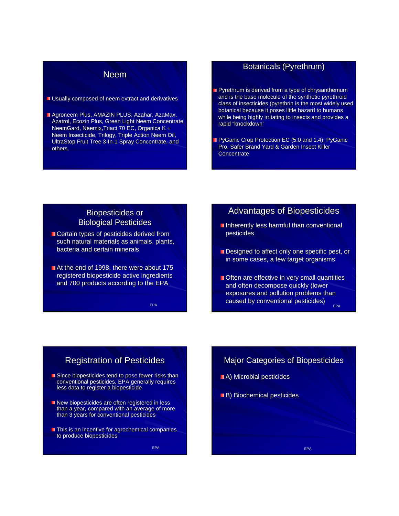#### Neem

**Usually composed of neem extract and derivatives** 

Agroneem Plus, AMAZIN PLUS, Azahar, AzaMax, Azatrol, Ecozin Plus, Green Light Neem Concentrate, NeemGard, Neemix, Triact 70 EC, Organica K + Neem Insecticide, Trilogy, Triple Action Neem Oil, UltraStop Fruit Tree 3-In-1 Spray Concentrate, and others

#### **Botanicals (Pyrethrum)**

- Pyrethrum is derived from a type of chrysanthemum and is the base molecule of the synthetic pyrethroid class of insecticides (pyrethrin is the most widely used botanical because it poses little hazard to humans while being highly irritating to insects and provides a rapid "knockdown"
- PyGanic Crop Protection EC (5.0 and 1.4), PyGanic Pro, Safer Brand Yard & Garden Insect Killer **Concentrate**

#### **Biopesticides or Biological Pesticides**

- Certain types of pesticides derived from such natural materials as animals, plants, bacteria and certain minerals
- $\blacksquare$  At the end of 1998, there were about 175 registered biopesticide active ingredients and 700 products according to the EPA

EPA

#### Advantages of Biopesticides

- **Inherently less harmful than conventional** pesticides
- $\blacksquare$  Designed to affect only one specific pest, or in some cases, a few target organisms
- Often are effective in very small quantities and often decompose quickly (lower exposures and pollution problems than caused by conventional pesticides) <sub>EPA</sub>

# **Registration of Pesticides**

- Since biopesticides tend to pose fewer risks than conventional pesticides, EPA generally requires less data to register a biopesticide
- New biopesticides are often registered in less than a year, compared with an average of more than 3 years for conventional pesticides
- **This is an incentive for agrochemical companies** to produce biopesticides

EPA

#### Major Categories of Biopesticides

- **A**) Microbial pesticides
- B) Biochemical pesticides

EPA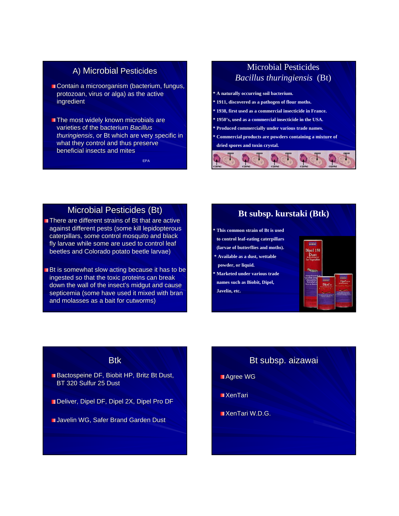#### A) Microbial Pesticides

- $\blacksquare$  Contain a microorganism (bacterium, fungus, protozoan, virus or alga) as the active ingredient
- $\blacksquare$  The most widely known microbials are varieties of the bacterium **Bacillus** *thuringiensis*, or Bt which are very specific in what they control and thus preserve beneficial insects and mites

EPA

# Microbial Pesticides *Bacillus thuringiensis* (Bt)

**\* A naturally occurring soil bacterium. \* 1911, discovered as a pathogen of flour moths. \* 1938, first used as a commercial insecticide in France. \* 1950's, used as a commercial insecticide in the USA. \* Produced commercially under various trade names. \* Commercial products are powders containing a mixture of**



# Microbial Pesticides (Bt)

- There are different strains of Bt that are active against different pests (some kill lepidopterous caterpillars, some control mosquito and black fly larvae while some are used to control leaf beetles and Colorado potato beetle larvae)
- $\blacksquare$  Bt is somewhat slow acting because it has to be ingested so that the toxic proteins can break down the wall of the insect's midgut and cause septicemia (some have used it mixed with bran and molasses as a bait for cutworms)

#### **Bt subsp. kurstaki (Btk)**

- **\* This common strain of Bt is used**
- **to control leaf-eating caterpillars (larvae of butterflies and moths).**
- 
- **\* Available as a dust, wettable powder, or liquid.**
- **\* Marketed under various trade names such as Biobit, Dipel, Javelin, etc.**



#### **Btk**

- Bactospeine DF, Biobit HP, Britz Bt Dust, BT 320 Sulfur 25 Dust
- Deliver, Dipel DF, Dipel 2X, Dipel Pro DF
- Javelin WG, Safer Brand Garden Dust

#### Bt subsp. aizawai

- ■Agree WG
- $\blacksquare$  XenTari
- $\blacksquare$  XenTari W.D.G.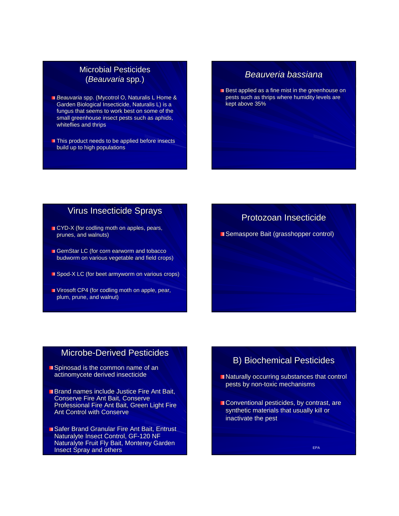#### **Microbial Pesticides** (*Beauvaria Beauvaria* spp*.*)

- **Beauvaria spp. (Mycotrol O, Naturalis L Home &** Garden Biological Insecticide, Naturalis L) is a fungus that seems to work best on some of the small greenhouse insect pests such as aphids, whiteflies and thrips
- $\blacksquare$  This product needs to be applied before insects build up to high populations

#### *Beauveria bassiana Beauveria bassiana*

Best applied as a fine mist in the greenhouse on pests such as thrips where humidity levels are kept above 35%

#### Virus Insecticide Sprays

- $\blacksquare$  CYD-X (for codling moth on apples, pears, prunes, and walnuts)
- GemStar LC (for corn earworm and tobacco budworm on various vegetable and field crops)
- $\Box$  Spod-X LC (for beet armyworm on various crops)
- Virosoft CP4 (for codling moth on apple, pear, Virosoft CP4 (for codling moth on apple, pear, plum, prune, and walnut)

#### Protozoan Insecticide

■ Semaspore Bait (grasshopper control)

## Microbe-Derived Pesticides

- $\blacksquare$  Spinosad is the common name of an actinomycete derived insecticide
- **Brand names include Justice Fire Ant Bait,** Conserve Fire Ant Bait, Conserve Professional Fire Ant Bait, Green Light Fire Ant Control with Conserve
- Safer Brand Granular Fire Ant Bait, Entrust Naturalyte Insect Control, GF-120 NF Naturalyte Fruit Fly Bait, Monterey Garden Insect Spray and others

## **B) Biochemical Pesticides**

- $\blacksquare$  Naturally occurring substances that control pests by non-toxic mechanisms
- Conventional pesticides, by contrast, are synthetic materials that usually kill or inactivate the pest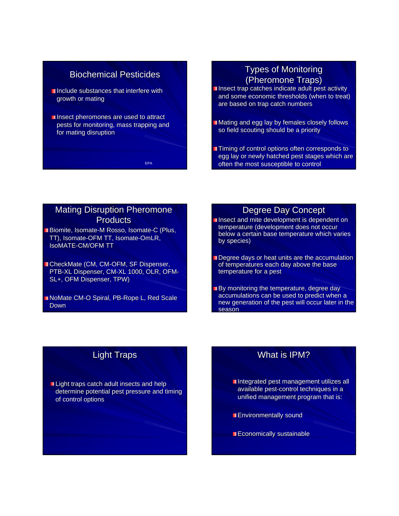## **Biochemical Pesticides**

- $\blacksquare$  Include substances that interfere with growth or mating
- $\blacksquare$  Insect pheromones are used to attract pests for monitoring, mass trapping and for mating disruption

EPA

# **Types of Monitoring** (Pheromone Traps) (Pheromone Traps)

- Insect trap catches indicate adult pest activity and some economic thresholds (when to treat) are based on trap catch numbers
- Mating and egg lay by females closely follows so field scouting should be a priority
- **Timing of control options often corresponds to** egg lay or newly hatched pest stages which are often the most susceptible to control

#### Mating Disruption Pheromone **Products**

- Biomite, Isomate-M Rosso, Isomate-C (Plus, TT), Isomate-OFM TT, Isomate-OmLR, IsoMATE-CM/OFM TT
- CheckMate (CM, CM-OFM, SF Dispenser, PTB-XL Dispenser, CM-XL 1000, OLR, OFM-SL+, OFM Dispenser, TPW)
- NoMate CM-O Spiral, PB-Rope L, Red Scale Down

#### Degree Day Concept

- Insect and mite development is dependent on temperature (development does not occur below a certain base temperature which varies by species)
- Degree days or heat units are the accumulation of temperatures each day above the base temperature for a pest
- By monitoring the temperature, degree day accumulations can be used to predict when a new generation of the pest will occur later in the season

# **Light Traps**

Light traps catch adult insects and help determine potential pest pressure and timing of control options

# What is IPM?

- $\blacksquare$  Integrated pest management utilizes all available pest-control techniques in a unified management program that is:
- **Environmentally sound**
- Economically sustainable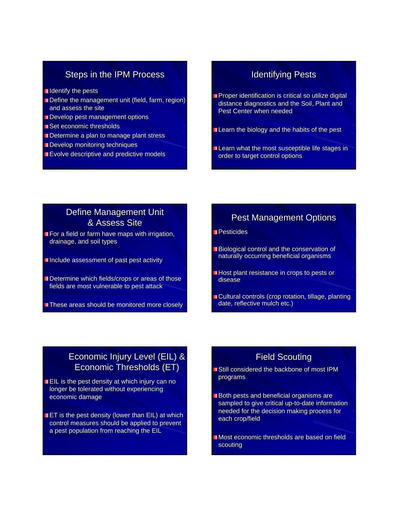#### Steps in the IPM Process

- I Identify the pests
- Define the management unit (field, farm, region) and assess the site
- Develop pest management options
- Set economic thresholds
- Determine a plan to manage plant stress
- Develop monitoring techniques
- Evolve descriptive and predictive models

#### **Identifying Pests**

- Proper identification is critical so utilize digital distance diagnostics and the Soil, Plant and Pest Center when needed
- Learn the biology and the habits of the pest
- Learn what the most susceptible life stages in order to target control options

# Define Management Unit  $\overline{8}$  Assess Site

- $\blacksquare$  For a field or farm have maps with irrigation, drainage, and soil types
- Include assessment of past pest activity
- Determine which fields/crops or areas of those fields are most vulnerable to pest attack
- These areas should be monitored more closely

#### **Pest Management Options**

Pesticides

- Biological control and the conservation of naturally occurring beneficial organisms
- Host plant resistance in crops to pests or disease
- Cultural controls (crop rotation, tillage, planting date, reflective mulch etc.)

# Economic Injury Level (EIL) & Economic Thresholds (ET)

- $\blacksquare$  EIL is the pest density at which injury can no longer be tolerated without experiencing economic damage
- **ET** is the pest density (lower than EIL) at which control measures should be applied to prevent a pest population from reaching the EIL

# **Field Scouting**

- Still considered the backbone of most IPM programs
- **Both pests and beneficial organisms are** sampled to give critical up-to-date information needed for the decision making process for each crop/field
- Most economic thresholds are based on field scouting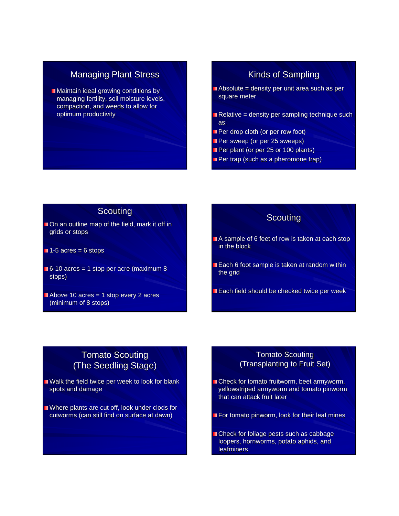# **Managing Plant Stress**

**Maintain ideal growing conditions by** managing fertility, soil moisture levels, compaction, and weeds to allow for optimum productivity

# Kinds of Sampling

- $\blacksquare$  Absolute = density per unit area such as per square meter
- Relative = density per sampling technique such as:
- Per drop cloth (or per row foot)
- **Per sweep (or per 25 sweeps)**
- Per plant (or per 25 or 100 plants)
- **Per trap (such as a pheromone trap)**

#### **Scouting**

- $\Box$  On an outline map of the field, mark it off in grids or stops
- $1-5$  acres = 6 stops
- 6-10 acres = 1 stop per acre (maximum 8 stops)
- $\blacksquare$  Above 10 acres = 1 stop every 2 acres (minimum of 8 stops)

#### **Scouting**

- A sample of 6 feet of row is taken at each stop in the block
- Each 6 foot sample is taken at random within the grid
- Each field should be checked twice per week

# **Tomato Scouting** (The Seedling Stage)

- Walk the field twice per week to look for blank spots and damage
- Where plants are cut off, look under clods for cutworms (can still find on surface at dawn)

#### Tomato Scouting (Transplanting to Fruit Set)

- Check for tomato fruitworm, beet armyworm, yellowstriped armyworm and tomato pinworm that can attack fruit later
- For tomato pinworm, look for their leaf mines
- Check for foliage pests such as cabbage loopers, hornworms, potato aphids, and leafminers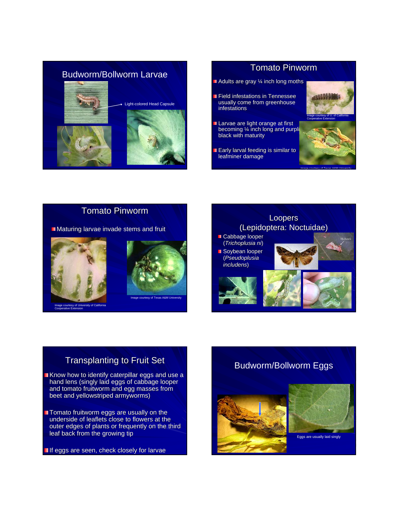



Tomato Pinworm

 $\blacksquare$  Maturing larvae invade stems and fruit





# **Transplanting to Fruit Set**

- Know how to identify caterpillar eggs and use a hand lens (singly laid eggs of cabbage looper and tomato fruitworm and egg masses from beet and yellowstriped armyworms) beet and yellowstriped armyworms)
- Tomato fruitworm eggs are usually on the underside of leaflets close to flowers at the outer edges of plants or frequently on the third leaf back from the growing tip

If eggs are seen, check closely for larvae

# Budworm/Bollworm Eggs